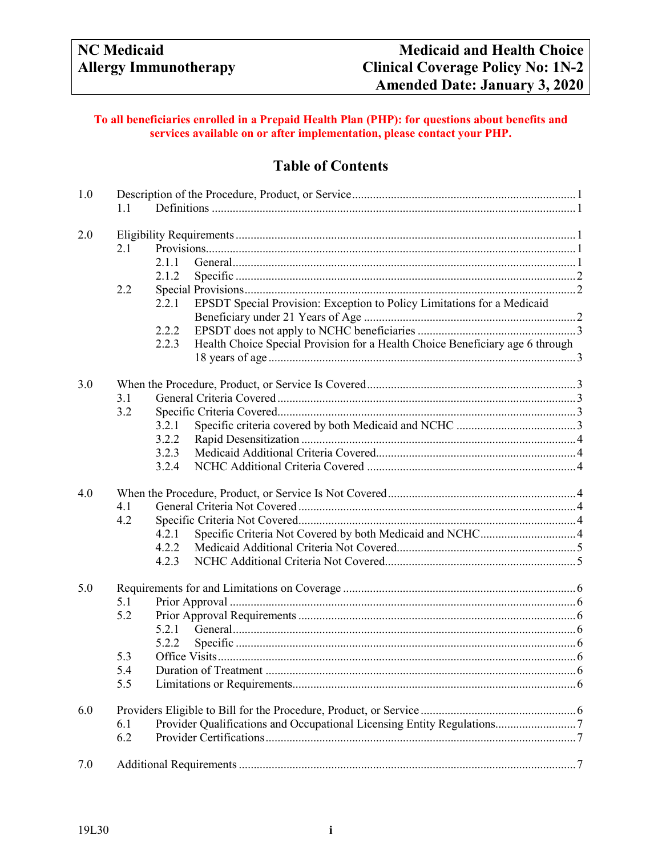## **To all beneficiaries enrolled in a Prepaid Health Plan (PHP): for questions about benefits and services available on or after implementation, please contact your PHP.**

# **Table of Contents**

| 1.0 | 1.1 |                                                                                        |  |  |  |
|-----|-----|----------------------------------------------------------------------------------------|--|--|--|
| 2.0 |     |                                                                                        |  |  |  |
|     | 2.1 |                                                                                        |  |  |  |
|     |     | 2.1.1                                                                                  |  |  |  |
|     |     | 2.1.2                                                                                  |  |  |  |
|     | 2.2 |                                                                                        |  |  |  |
|     |     | EPSDT Special Provision: Exception to Policy Limitations for a Medicaid<br>2.2.1       |  |  |  |
|     |     |                                                                                        |  |  |  |
|     |     | 2.2.2                                                                                  |  |  |  |
|     |     | Health Choice Special Provision for a Health Choice Beneficiary age 6 through<br>2.2.3 |  |  |  |
|     |     |                                                                                        |  |  |  |
| 3.0 |     |                                                                                        |  |  |  |
|     | 3.1 |                                                                                        |  |  |  |
|     | 3.2 |                                                                                        |  |  |  |
|     |     | 3.2.1                                                                                  |  |  |  |
|     |     | 3.2.2                                                                                  |  |  |  |
|     |     | 3.2.3                                                                                  |  |  |  |
|     |     | 3.2.4                                                                                  |  |  |  |
| 4.0 |     |                                                                                        |  |  |  |
|     | 4.1 |                                                                                        |  |  |  |
|     | 4.2 |                                                                                        |  |  |  |
|     |     | 4.2.1                                                                                  |  |  |  |
|     |     | 4.2.2                                                                                  |  |  |  |
|     |     | 4.2.3                                                                                  |  |  |  |
| 5.0 |     |                                                                                        |  |  |  |
|     | 5.1 |                                                                                        |  |  |  |
|     | 5.2 |                                                                                        |  |  |  |
|     |     | 5.2.1                                                                                  |  |  |  |
|     |     | 5.2.2                                                                                  |  |  |  |
|     | 5.3 |                                                                                        |  |  |  |
|     | 5.4 |                                                                                        |  |  |  |
|     | 5.5 |                                                                                        |  |  |  |
| 6.0 |     |                                                                                        |  |  |  |
|     | 6.1 |                                                                                        |  |  |  |
|     | 6.2 |                                                                                        |  |  |  |
| 7.0 |     |                                                                                        |  |  |  |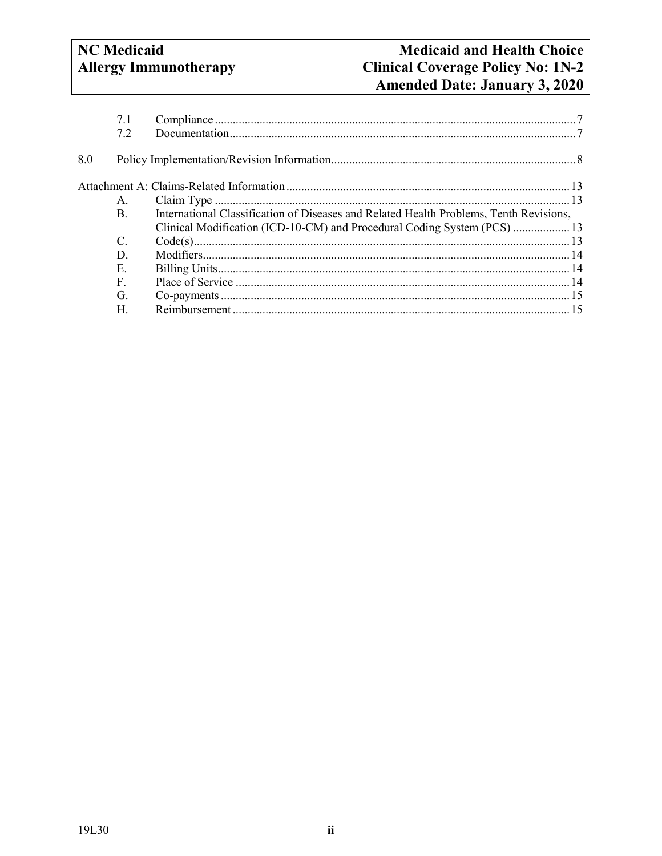# **NC** Medicaid **Allergy Immunotherapy**

| Clinical Modification (ICD-10-CM) and Procedural Coding System (PCS)  13               |
|----------------------------------------------------------------------------------------|
|                                                                                        |
|                                                                                        |
|                                                                                        |
|                                                                                        |
|                                                                                        |
|                                                                                        |
| International Classification of Diseases and Related Health Problems, Tenth Revisions, |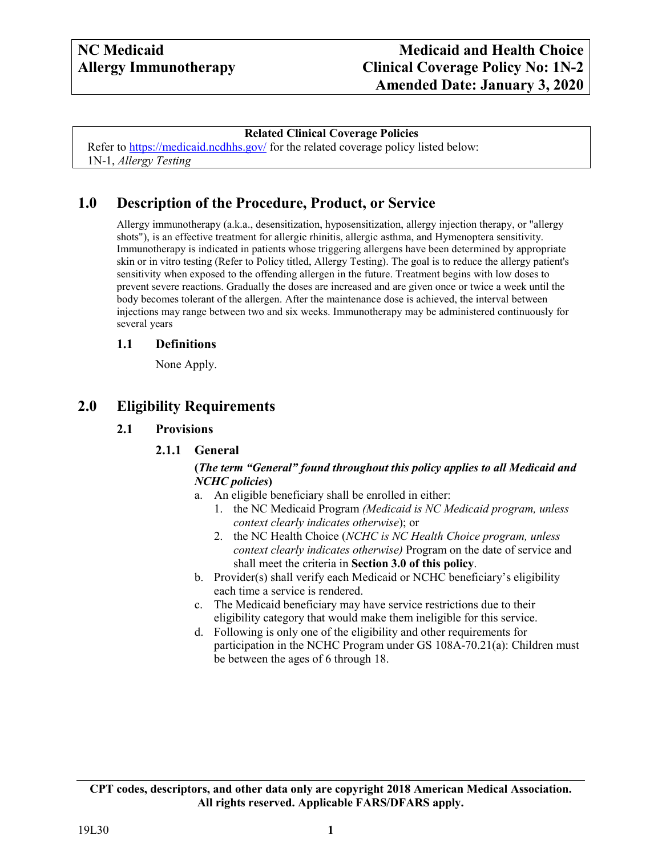#### **Related Clinical Coverage Policies**

<span id="page-2-0"></span>Refer to<https://medicaid.ncdhhs.gov/> for the related coverage policy listed below: 1N-1, *Allergy Testing*

# **1.0 Description of the Procedure, Product, or Service**

Allergy immunotherapy (a.k.a., desensitization, hyposensitization, allergy injection therapy, or "allergy shots"), is an effective treatment for allergic rhinitis, allergic asthma, and Hymenoptera sensitivity. Immunotherapy is indicated in patients whose triggering allergens have been determined by appropriate skin or in vitro testing (Refer to Policy titled, Allergy Testing). The goal is to reduce the allergy patient's sensitivity when exposed to the offending allergen in the future. Treatment begins with low doses to prevent severe reactions. Gradually the doses are increased and are given once or twice a week until the body becomes tolerant of the allergen. After the maintenance dose is achieved, the interval between injections may range between two and six weeks. Immunotherapy may be administered continuously for several years

#### <span id="page-2-1"></span>**1.1 Definitions**

None Apply.

# <span id="page-2-4"></span><span id="page-2-3"></span><span id="page-2-2"></span>**2.0 Eligibility Requirements**

#### **2.1 Provisions**

#### **2.1.1 General**

#### **(***The term "General" found throughout this policy applies to all Medicaid and NCHC policies***)**

- a. An eligible beneficiary shall be enrolled in either:
	- 1. the NC Medicaid Program *(Medicaid is NC Medicaid program, unless context clearly indicates otherwise*); or
	- 2. the NC Health Choice (*NCHC is NC Health Choice program, unless context clearly indicates otherwise)* Program on the date of service and shall meet the criteria in **Section 3.0 of this policy**.
- b. Provider(s) shall verify each Medicaid or NCHC beneficiary's eligibility each time a service is rendered.
- c. The Medicaid beneficiary may have service restrictions due to their eligibility category that would make them ineligible for this service.
- d. Following is only one of the eligibility and other requirements for participation in the NCHC Program under GS 108A-70.21(a): Children must be between the ages of 6 through 18.

**CPT codes, descriptors, and other data only are copyright 2018 American Medical Association. All rights reserved. Applicable FARS/DFARS apply.**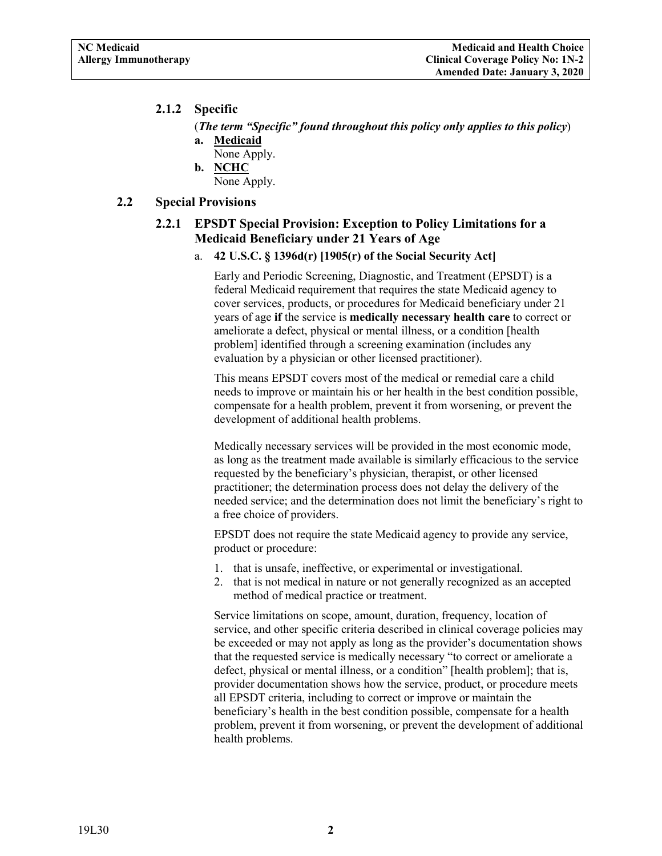## <span id="page-3-0"></span>**2.1.2 Specific**

(*The term "Specific" found throughout this policy only applies to this policy*) **a. Medicaid**

- None Apply. **b. NCHC**
	- None Apply.

## <span id="page-3-2"></span><span id="page-3-1"></span>**2.2 Special Provisions**

## **2.2.1 EPSDT Special Provision: Exception to Policy Limitations for a Medicaid Beneficiary under 21 Years of Age**

a. **42 U.S.C. § 1396d(r) [1905(r) of the Social Security Act]**

Early and Periodic Screening, Diagnostic, and Treatment (EPSDT) is a federal Medicaid requirement that requires the state Medicaid agency to cover services, products, or procedures for Medicaid beneficiary under 21 years of age **if** the service is **medically necessary health care** to correct or ameliorate a defect, physical or mental illness, or a condition [health problem] identified through a screening examination (includes any evaluation by a physician or other licensed practitioner).

This means EPSDT covers most of the medical or remedial care a child needs to improve or maintain his or her health in the best condition possible, compensate for a health problem, prevent it from worsening, or prevent the development of additional health problems.

Medically necessary services will be provided in the most economic mode, as long as the treatment made available is similarly efficacious to the service requested by the beneficiary's physician, therapist, or other licensed practitioner; the determination process does not delay the delivery of the needed service; and the determination does not limit the beneficiary's right to a free choice of providers.

EPSDT does not require the state Medicaid agency to provide any service, product or procedure:

- 1. that is unsafe, ineffective, or experimental or investigational.
- 2. that is not medical in nature or not generally recognized as an accepted method of medical practice or treatment.

Service limitations on scope, amount, duration, frequency, location of service, and other specific criteria described in clinical coverage policies may be exceeded or may not apply as long as the provider's documentation shows that the requested service is medically necessary "to correct or ameliorate a defect, physical or mental illness, or a condition" [health problem]; that is, provider documentation shows how the service, product, or procedure meets all EPSDT criteria, including to correct or improve or maintain the beneficiary's health in the best condition possible, compensate for a health problem, prevent it from worsening, or prevent the development of additional health problems.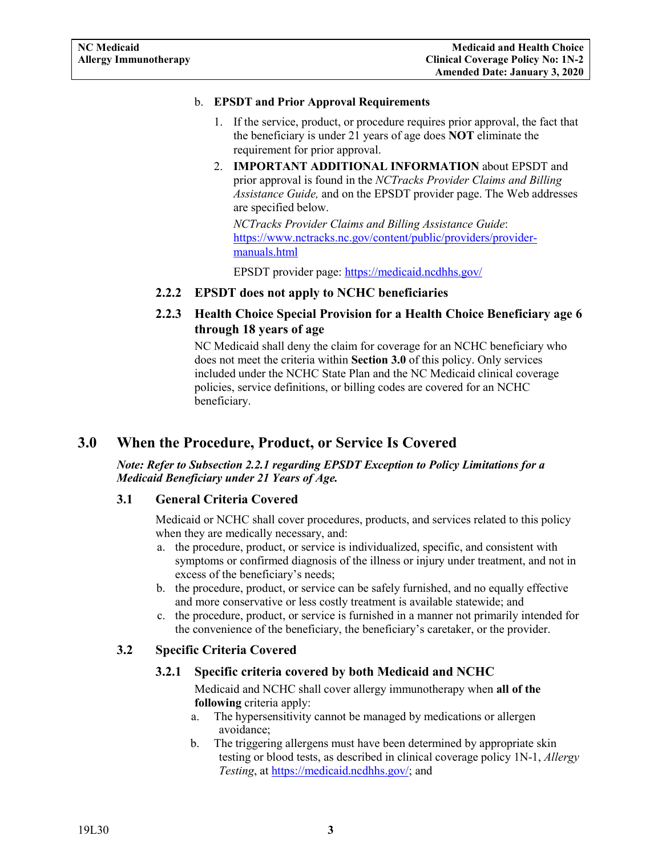#### b. **EPSDT and Prior Approval Requirements**

- 1. If the service, product, or procedure requires prior approval, the fact that the beneficiary is under 21 years of age does **NOT** eliminate the requirement for prior approval.
- 2. **IMPORTANT ADDITIONAL INFORMATION** about EPSDT and prior approval is found in the *NCTracks Provider Claims and Billing Assistance Guide,* and on the EPSDT provider page. The Web addresses are specified below.

*NCTracks Provider Claims and Billing Assistance Guide*: [https://www.nctracks.nc.gov/content/public/providers/provider](https://www.nctracks.nc.gov/content/public/providers/provider-manuals.html)[manuals.html](https://www.nctracks.nc.gov/content/public/providers/provider-manuals.html)

EPSDT provider page: <https://medicaid.ncdhhs.gov/>

## <span id="page-4-0"></span>**2.2.2 EPSDT does not apply to NCHC beneficiaries**

<span id="page-4-1"></span>**2.2.3 Health Choice Special Provision for a Health Choice Beneficiary age 6 through 18 years of age**

NC Medicaid shall deny the claim for coverage for an NCHC beneficiary who does not meet the criteria within **Section 3.0** of this policy. Only services included under the NCHC State Plan and the NC Medicaid clinical coverage policies, service definitions, or billing codes are covered for an NCHC beneficiary.

# <span id="page-4-2"></span>**3.0 When the Procedure, Product, or Service Is Covered**

*Note: Refer to Subsection 2.2.1 regarding EPSDT Exception to Policy Limitations for a Medicaid Beneficiary under 21 Years of Age.*

#### <span id="page-4-3"></span>**3.1 General Criteria Covered**

Medicaid or NCHC shall cover procedures, products, and services related to this policy when they are medically necessary, and:

- a. the procedure, product, or service is individualized, specific, and consistent with symptoms or confirmed diagnosis of the illness or injury under treatment, and not in excess of the beneficiary's needs;
- b. the procedure, product, or service can be safely furnished, and no equally effective and more conservative or less costly treatment is available statewide; and
- c. the procedure, product, or service is furnished in a manner not primarily intended for the convenience of the beneficiary, the beneficiary's caretaker, or the provider.

## <span id="page-4-5"></span><span id="page-4-4"></span>**3.2 Specific Criteria Covered**

#### **3.2.1 Specific criteria covered by both Medicaid and NCHC**

Medicaid and NCHC shall cover allergy immunotherapy when **all of the following** criteria apply:

- a. The hypersensitivity cannot be managed by medications or allergen avoidance;
- b. The triggering allergens must have been determined by appropriate skin testing or blood tests, as described in clinical coverage policy 1N-1, *Allergy Testing*, at [https://medicaid.ncdhhs.gov/;](https://medicaid.ncdhhs.gov/) and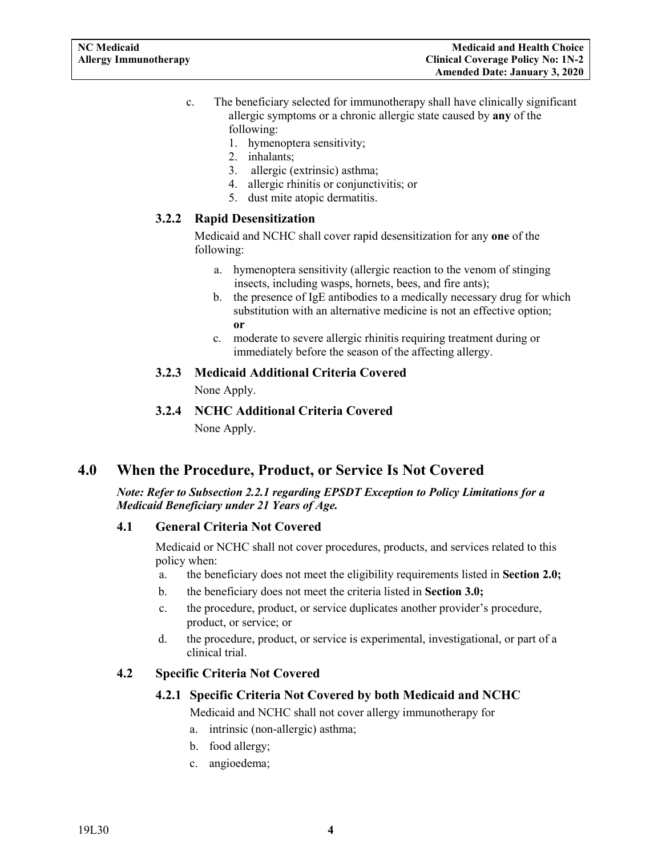- c. The beneficiary selected for immunotherapy shall have clinically significant allergic symptoms or a chronic allergic state caused by **any** of the following:
	- 1. hymenoptera sensitivity;
	- 2. inhalants;
	- 3. allergic (extrinsic) asthma;
	- 4. allergic rhinitis or conjunctivitis; or
	- 5. dust mite atopic dermatitis.

#### <span id="page-5-0"></span>**3.2.2 Rapid Desensitization**

Medicaid and NCHC shall cover rapid desensitization for any **one** of the following:

- a. hymenoptera sensitivity (allergic reaction to the venom of stinging insects, including wasps, hornets, bees, and fire ants);
- b. the presence of IgE antibodies to a medically necessary drug for which substitution with an alternative medicine is not an effective option; **or**
- c. moderate to severe allergic rhinitis requiring treatment during or immediately before the season of the affecting allergy.

#### <span id="page-5-1"></span>**3.2.3 Medicaid Additional Criteria Covered**

None Apply.

**3.2.4 NCHC Additional Criteria Covered** None Apply.

# <span id="page-5-3"></span><span id="page-5-2"></span>**4.0 When the Procedure, Product, or Service Is Not Covered**

#### *Note: Refer to Subsection 2.2.1 regarding EPSDT Exception to Policy Limitations for a Medicaid Beneficiary under 21 Years of Age.*

#### <span id="page-5-4"></span>**4.1 General Criteria Not Covered**

Medicaid or NCHC shall not cover procedures, products, and services related to this policy when:

- a. the beneficiary does not meet the eligibility requirements listed in **Section 2.0;**
- b. the beneficiary does not meet the criteria listed in **Section 3.0;**
- c. the procedure, product, or service duplicates another provider's procedure, product, or service; or
- d. the procedure, product, or service is experimental, investigational, or part of a clinical trial.

## <span id="page-5-6"></span><span id="page-5-5"></span>**4.2 Specific Criteria Not Covered**

#### **4.2.1 Specific Criteria Not Covered by both Medicaid and NCHC**

Medicaid and NCHC shall not cover allergy immunotherapy for

- a. intrinsic (non-allergic) asthma;
- b. food allergy;
- c. angioedema;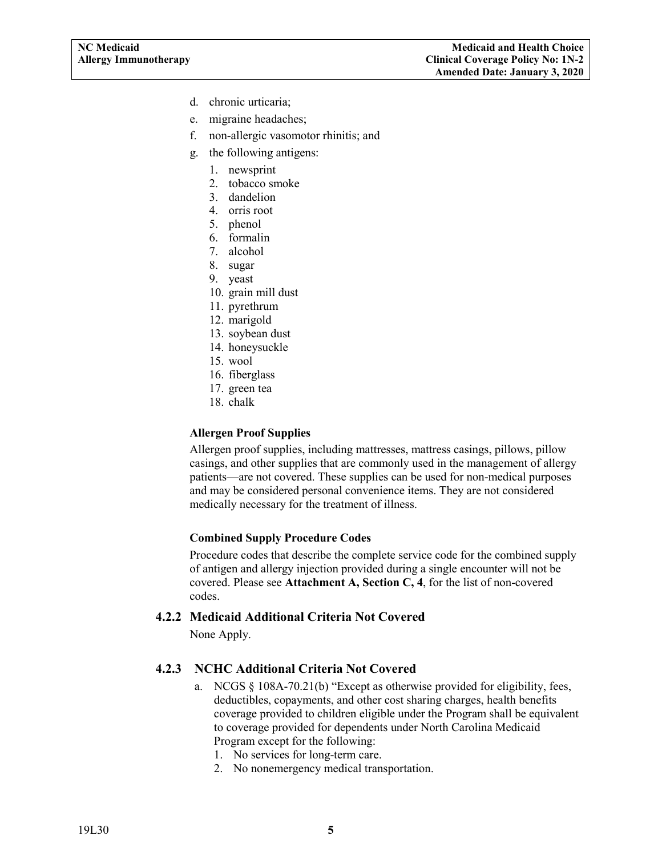- d. chronic urticaria;
- e. migraine headaches;
- f. non-allergic vasomotor rhinitis; and
- g. the following antigens:
	- 1. newsprint
	- 2. tobacco smoke
	- 3. dandelion
	- 4. orris root
	- 5. phenol
	- 6. formalin
	- 7. alcohol
	- 8. sugar
	- 9. yeast
	- 10. grain mill dust
	- 11. pyrethrum
	- 12. marigold
	- 13. soybean dust
	- 14. honeysuckle
	- 15. wool
	- 16. fiberglass
	- 17. green tea
	- 18. chalk

#### **Allergen Proof Supplies**

Allergen proof supplies, including mattresses, mattress casings, pillows, pillow casings, and other supplies that are commonly used in the management of allergy patients—are not covered. These supplies can be used for non-medical purposes and may be considered personal convenience items. They are not considered medically necessary for the treatment of illness.

#### **Combined Supply Procedure Codes**

Procedure codes that describe the complete service code for the combined supply of antigen and allergy injection provided during a single encounter will not be covered. Please see **Attachment A, Section C, 4**, for the list of non-covered codes.

#### <span id="page-6-0"></span>**4.2.2 Medicaid Additional Criteria Not Covered**

None Apply.

#### <span id="page-6-1"></span>**4.2.3 NCHC Additional Criteria Not Covered**

- a. NCGS § 108A-70.21(b) "Except as otherwise provided for eligibility, fees, deductibles, copayments, and other cost sharing charges, health benefits coverage provided to children eligible under the Program shall be equivalent to coverage provided for dependents under North Carolina Medicaid Program except for the following:
	- 1. No services for long-term care.
	- 2. No nonemergency medical transportation.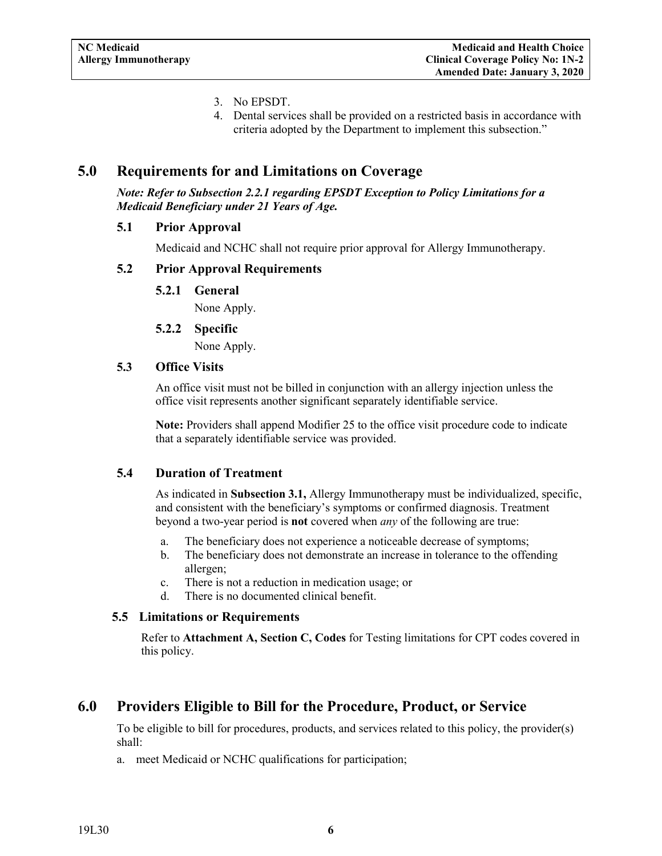- 3. No EPSDT.
- 4. Dental services shall be provided on a restricted basis in accordance with criteria adopted by the Department to implement this subsection."

# <span id="page-7-0"></span>**5.0 Requirements for and Limitations on Coverage**

*Note: Refer to Subsection 2.2.1 regarding EPSDT Exception to Policy Limitations for a Medicaid Beneficiary under 21 Years of Age.*

#### <span id="page-7-1"></span>**5.1 Prior Approval**

Medicaid and NCHC shall not require prior approval for Allergy Immunotherapy.

#### <span id="page-7-3"></span><span id="page-7-2"></span>**5.2 Prior Approval Requirements**

**5.2.1 General**

None Apply.

#### **5.2.2 Specific**

None Apply.

#### <span id="page-7-5"></span><span id="page-7-4"></span>**5.3 Office Visits**

An office visit must not be billed in conjunction with an allergy injection unless the office visit represents another significant separately identifiable service.

**Note:** Providers shall append Modifier 25 to the office visit procedure code to indicate that a separately identifiable service was provided.

#### <span id="page-7-6"></span>**5.4 Duration of Treatment**

As indicated in **Subsection 3.1,** Allergy Immunotherapy must be individualized, specific, and consistent with the beneficiary's symptoms or confirmed diagnosis. Treatment beyond a two-year period is **not** covered when *any* of the following are true:

- a. The beneficiary does not experience a noticeable decrease of symptoms;
- b. The beneficiary does not demonstrate an increase in tolerance to the offending allergen;
- c. There is not a reduction in medication usage; or
- d. There is no documented clinical benefit.

#### <span id="page-7-7"></span>**5.5 Limitations or Requirements**

Refer to **Attachment A, Section C, Codes** for Testing limitations for CPT codes covered in this policy.

# <span id="page-7-8"></span>**6.0 Providers Eligible to Bill for the Procedure, Product, or Service**

To be eligible to bill for procedures, products, and services related to this policy, the provider(s) shall:

a. meet Medicaid or NCHC qualifications for participation;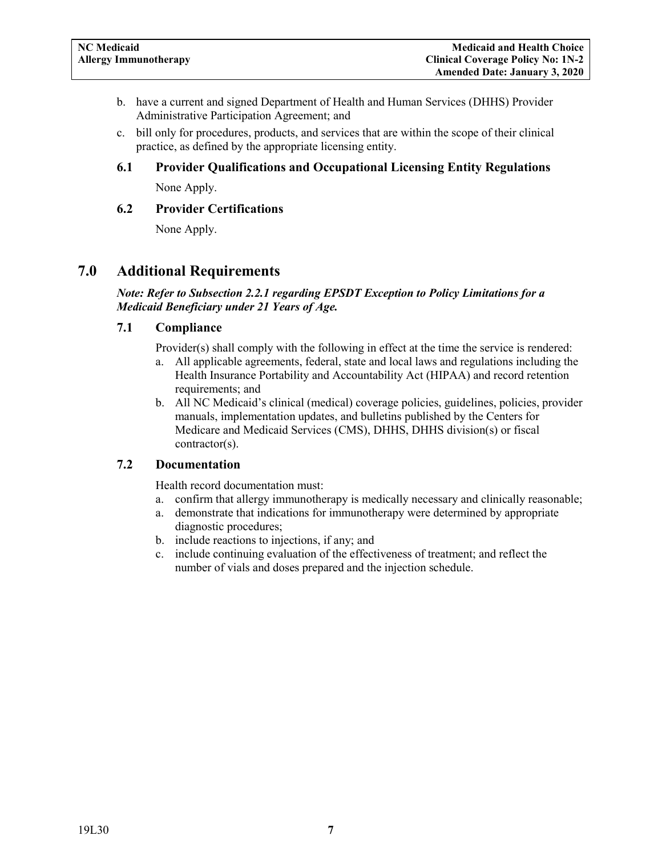- b. have a current and signed Department of Health and Human Services (DHHS) Provider Administrative Participation Agreement; and
- c. bill only for procedures, products, and services that are within the scope of their clinical practice, as defined by the appropriate licensing entity.

# <span id="page-8-0"></span>**6.1 Provider Qualifications and Occupational Licensing Entity Regulations**

None Apply.

## <span id="page-8-1"></span>**6.2 Provider Certifications**

None Apply.

# <span id="page-8-2"></span>**7.0 Additional Requirements**

*Note: Refer to Subsection 2.2.1 regarding EPSDT Exception to Policy Limitations for a Medicaid Beneficiary under 21 Years of Age.*

## <span id="page-8-3"></span>**7.1 Compliance**

Provider(s) shall comply with the following in effect at the time the service is rendered:

- a. All applicable agreements, federal, state and local laws and regulations including the Health Insurance Portability and Accountability Act (HIPAA) and record retention requirements; and
- b. All NC Medicaid's clinical (medical) coverage policies, guidelines, policies, provider manuals, implementation updates, and bulletins published by the Centers for Medicare and Medicaid Services (CMS), DHHS, DHHS division(s) or fiscal contractor(s).

## <span id="page-8-4"></span>**7.2 Documentation**

Health record documentation must:

- a. confirm that allergy immunotherapy is medically necessary and clinically reasonable;
- a. demonstrate that indications for immunotherapy were determined by appropriate diagnostic procedures;
- b. include reactions to injections, if any; and
- c. include continuing evaluation of the effectiveness of treatment; and reflect the number of vials and doses prepared and the injection schedule.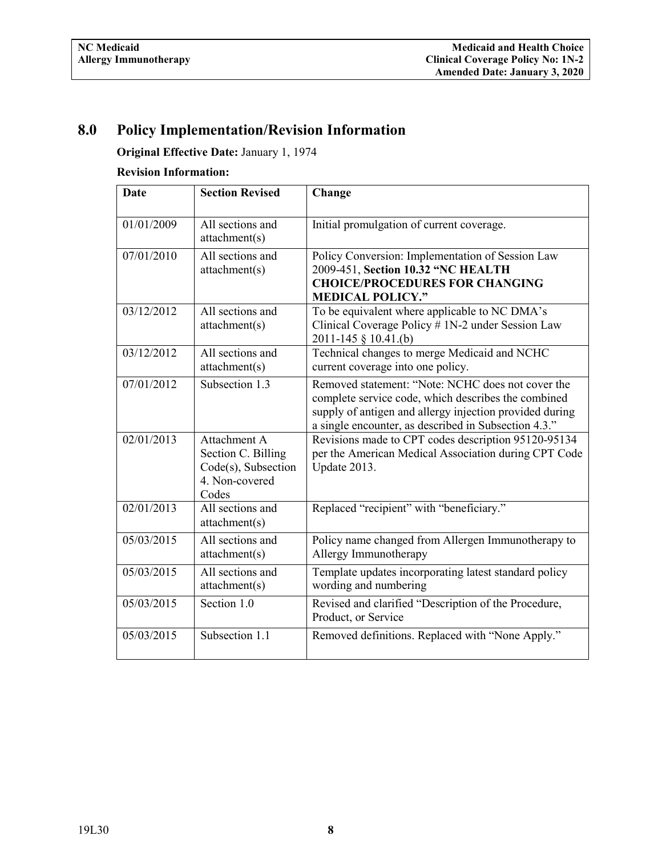# <span id="page-9-0"></span>**8.0 Policy Implementation/Revision Information**

**Original Effective Date:** January 1, 1974

# **Revision Information:**

| <b>Date</b> | <b>Section Revised</b>                                                                  | Change                                                                                                                                                                                                                      |
|-------------|-----------------------------------------------------------------------------------------|-----------------------------------------------------------------------------------------------------------------------------------------------------------------------------------------------------------------------------|
| 01/01/2009  | All sections and<br>attachment(s)                                                       | Initial promulgation of current coverage.                                                                                                                                                                                   |
| 07/01/2010  | All sections and<br>attachment(s)                                                       | Policy Conversion: Implementation of Session Law<br>2009-451, Section 10.32 "NC HEALTH<br><b>CHOICE/PROCEDURES FOR CHANGING</b><br><b>MEDICAL POLICY."</b>                                                                  |
| 03/12/2012  | All sections and<br>attachment(s)                                                       | To be equivalent where applicable to NC DMA's<br>Clinical Coverage Policy # 1N-2 under Session Law<br>2011-145 § 10.41.(b)                                                                                                  |
| 03/12/2012  | All sections and<br>attachment(s)                                                       | Technical changes to merge Medicaid and NCHC<br>current coverage into one policy.                                                                                                                                           |
| 07/01/2012  | Subsection 1.3                                                                          | Removed statement: "Note: NCHC does not cover the<br>complete service code, which describes the combined<br>supply of antigen and allergy injection provided during<br>a single encounter, as described in Subsection 4.3." |
| 02/01/2013  | Attachment A<br>Section C. Billing<br>$Code(s)$ , Subsection<br>4. Non-covered<br>Codes | Revisions made to CPT codes description 95120-95134<br>per the American Medical Association during CPT Code<br>Update 2013.                                                                                                 |
| 02/01/2013  | All sections and<br>attachment(s)                                                       | Replaced "recipient" with "beneficiary."                                                                                                                                                                                    |
| 05/03/2015  | All sections and<br>attachment(s)                                                       | Policy name changed from Allergen Immunotherapy to<br>Allergy Immunotherapy                                                                                                                                                 |
| 05/03/2015  | All sections and<br>attachment(s)                                                       | Template updates incorporating latest standard policy<br>wording and numbering                                                                                                                                              |
| 05/03/2015  | Section 1.0                                                                             | Revised and clarified "Description of the Procedure,<br>Product, or Service                                                                                                                                                 |
| 05/03/2015  | Subsection 1.1                                                                          | Removed definitions. Replaced with "None Apply."                                                                                                                                                                            |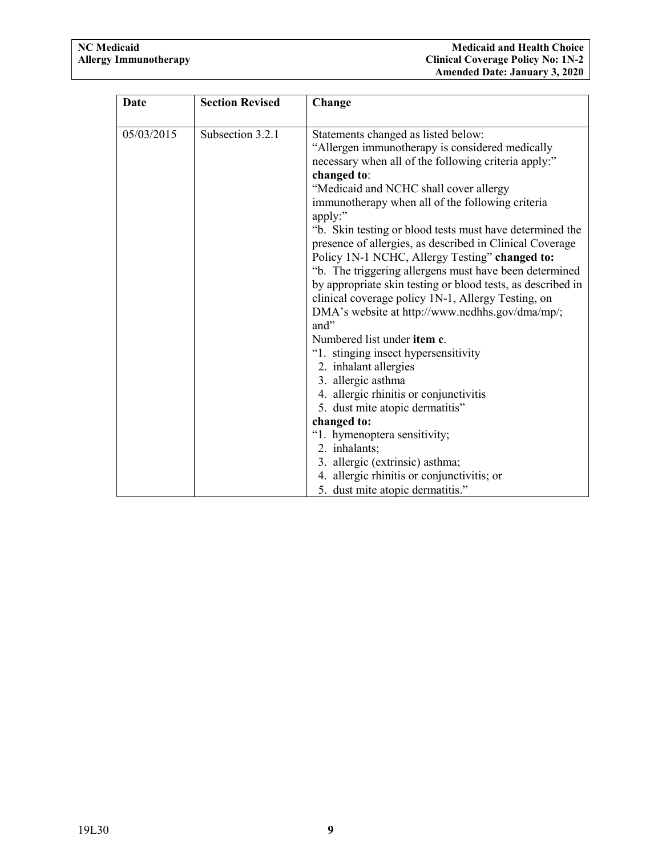| <b>Date</b> | <b>Section Revised</b> | Change                                                                                                                                                                                                                                                                                                                                                                                                                                                                                                                                                                                                                                                                                                                                                                                                                   |
|-------------|------------------------|--------------------------------------------------------------------------------------------------------------------------------------------------------------------------------------------------------------------------------------------------------------------------------------------------------------------------------------------------------------------------------------------------------------------------------------------------------------------------------------------------------------------------------------------------------------------------------------------------------------------------------------------------------------------------------------------------------------------------------------------------------------------------------------------------------------------------|
| 05/03/2015  | Subsection 3.2.1       | Statements changed as listed below:<br>"Allergen immunotherapy is considered medically<br>necessary when all of the following criteria apply:"<br>changed to:<br>"Medicaid and NCHC shall cover allergy<br>immunotherapy when all of the following criteria<br>apply:"<br>"b. Skin testing or blood tests must have determined the<br>presence of allergies, as described in Clinical Coverage<br>Policy 1N-1 NCHC, Allergy Testing" changed to:<br>"b. The triggering allergens must have been determined<br>by appropriate skin testing or blood tests, as described in<br>clinical coverage policy 1N-1, Allergy Testing, on<br>DMA's website at http://www.ncdhhs.gov/dma/mp/;<br>and"<br>Numbered list under <b>item c</b> .<br>"1. stinging insect hypersensitivity<br>2. inhalant allergies<br>3. allergic asthma |
|             |                        | 4. allergic rhinitis or conjunctivitis                                                                                                                                                                                                                                                                                                                                                                                                                                                                                                                                                                                                                                                                                                                                                                                   |
|             |                        | 5. dust mite atopic dermatitis"<br>changed to:                                                                                                                                                                                                                                                                                                                                                                                                                                                                                                                                                                                                                                                                                                                                                                           |
|             |                        | "1. hymenoptera sensitivity;                                                                                                                                                                                                                                                                                                                                                                                                                                                                                                                                                                                                                                                                                                                                                                                             |
|             |                        | 2. inhalants;                                                                                                                                                                                                                                                                                                                                                                                                                                                                                                                                                                                                                                                                                                                                                                                                            |
|             |                        | 3. allergic (extrinsic) asthma;                                                                                                                                                                                                                                                                                                                                                                                                                                                                                                                                                                                                                                                                                                                                                                                          |
|             |                        | 4. allergic rhinitis or conjunctivitis; or                                                                                                                                                                                                                                                                                                                                                                                                                                                                                                                                                                                                                                                                                                                                                                               |
|             |                        | 5. dust mite atopic dermatitis."                                                                                                                                                                                                                                                                                                                                                                                                                                                                                                                                                                                                                                                                                                                                                                                         |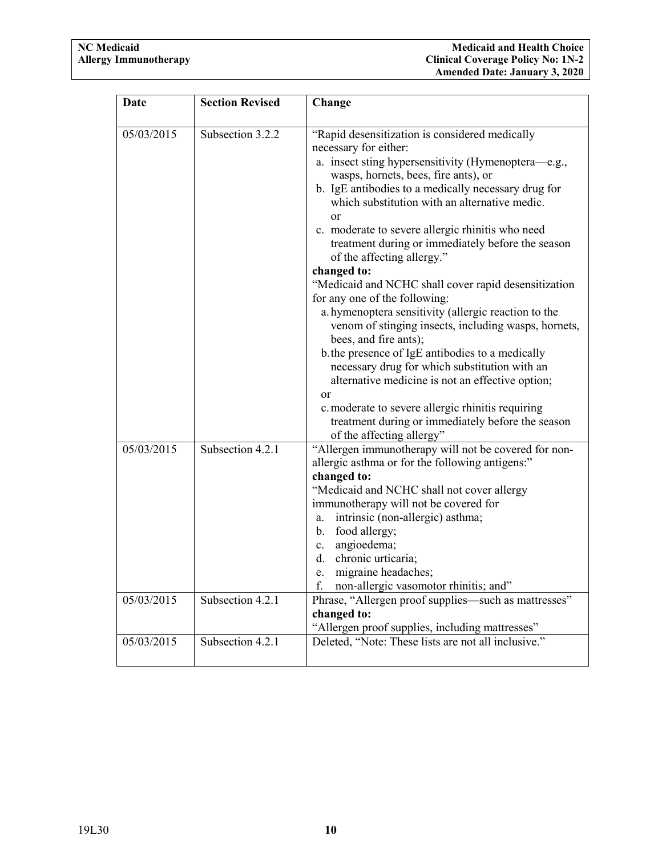| Date                     | <b>Section Revised</b>               | Change                                                                                                                                                                                                                                                                                                                                                                                                                                                                                                                                                                                                                                                                                                                                                                                                                                                                                                                                                                                   |
|--------------------------|--------------------------------------|------------------------------------------------------------------------------------------------------------------------------------------------------------------------------------------------------------------------------------------------------------------------------------------------------------------------------------------------------------------------------------------------------------------------------------------------------------------------------------------------------------------------------------------------------------------------------------------------------------------------------------------------------------------------------------------------------------------------------------------------------------------------------------------------------------------------------------------------------------------------------------------------------------------------------------------------------------------------------------------|
| 05/03/2015               | Subsection 3.2.2                     | "Rapid desensitization is considered medically<br>necessary for either:<br>a. insect sting hypersensitivity (Hymenoptera—e.g.,<br>wasps, hornets, bees, fire ants), or<br>b. IgE antibodies to a medically necessary drug for<br>which substitution with an alternative medic.<br>or<br>c. moderate to severe allergic rhinitis who need<br>treatment during or immediately before the season<br>of the affecting allergy."<br>changed to:<br>"Medicaid and NCHC shall cover rapid desensitization<br>for any one of the following:<br>a. hymenoptera sensitivity (allergic reaction to the<br>venom of stinging insects, including wasps, hornets,<br>bees, and fire ants);<br>b the presence of IgE antibodies to a medically<br>necessary drug for which substitution with an<br>alternative medicine is not an effective option;<br><b>or</b><br>c. moderate to severe allergic rhinitis requiring<br>treatment during or immediately before the season<br>of the affecting allergy" |
| 05/03/2015<br>05/03/2015 | Subsection 4.2.1<br>Subsection 4.2.1 | "Allergen immunotherapy will not be covered for non-<br>allergic asthma or for the following antigens:"<br>changed to:<br>"Medicaid and NCHC shall not cover allergy<br>immunotherapy will not be covered for<br>intrinsic (non-allergic) asthma;<br>a.<br>b. food allergy;<br>c. angioedema;<br>d. chronic urticaria;<br>migraine headaches;<br>e.<br>non-allergic vasomotor rhinitis; and"<br>f.<br>Phrase, "Allergen proof supplies—such as mattresses"                                                                                                                                                                                                                                                                                                                                                                                                                                                                                                                               |
|                          |                                      | changed to:<br>"Allergen proof supplies, including mattresses"                                                                                                                                                                                                                                                                                                                                                                                                                                                                                                                                                                                                                                                                                                                                                                                                                                                                                                                           |
| 05/03/2015               | Subsection 4.2.1                     | Deleted, "Note: These lists are not all inclusive."                                                                                                                                                                                                                                                                                                                                                                                                                                                                                                                                                                                                                                                                                                                                                                                                                                                                                                                                      |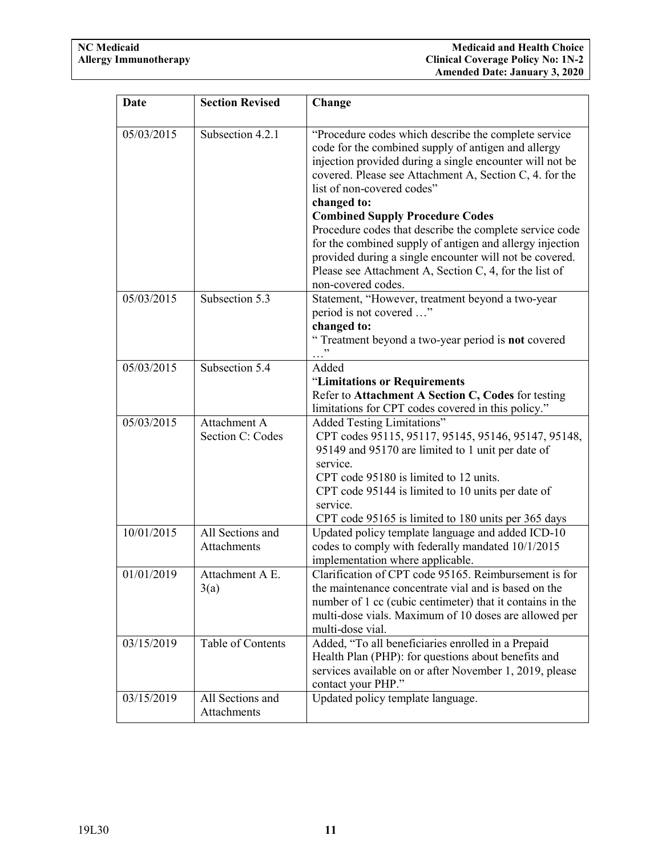| Date       | <b>Section Revised</b>                 | Change                                                                                                                                                                                                                                                                                                                                                                                                                                                                                                                                                                                      |
|------------|----------------------------------------|---------------------------------------------------------------------------------------------------------------------------------------------------------------------------------------------------------------------------------------------------------------------------------------------------------------------------------------------------------------------------------------------------------------------------------------------------------------------------------------------------------------------------------------------------------------------------------------------|
| 05/03/2015 | Subsection 4.2.1                       | "Procedure codes which describe the complete service<br>code for the combined supply of antigen and allergy<br>injection provided during a single encounter will not be<br>covered. Please see Attachment A, Section C, 4. for the<br>list of non-covered codes"<br>changed to:<br><b>Combined Supply Procedure Codes</b><br>Procedure codes that describe the complete service code<br>for the combined supply of antigen and allergy injection<br>provided during a single encounter will not be covered.<br>Please see Attachment A, Section C, 4, for the list of<br>non-covered codes. |
| 05/03/2015 | Subsection 5.3                         | Statement, "However, treatment beyond a two-year<br>period is not covered "<br>changed to:<br>"Treatment beyond a two-year period is <b>not</b> covered                                                                                                                                                                                                                                                                                                                                                                                                                                     |
| 05/03/2015 | Subsection $\overline{5.4}$            | Added<br>"Limitations or Requirements<br>Refer to Attachment A Section C, Codes for testing<br>limitations for CPT codes covered in this policy."                                                                                                                                                                                                                                                                                                                                                                                                                                           |
| 05/03/2015 | Attachment A<br>Section C: Codes       | <b>Added Testing Limitations"</b><br>CPT codes 95115, 95117, 95145, 95146, 95147, 95148,<br>95149 and 95170 are limited to 1 unit per date of<br>service.<br>CPT code 95180 is limited to 12 units.<br>CPT code 95144 is limited to 10 units per date of<br>service.<br>CPT code 95165 is limited to 180 units per 365 days                                                                                                                                                                                                                                                                 |
| 10/01/2015 | All Sections and<br><b>Attachments</b> | Updated policy template language and added ICD-10<br>codes to comply with federally mandated 10/1/2015<br>implementation where applicable.                                                                                                                                                                                                                                                                                                                                                                                                                                                  |
| 01/01/2019 | Attachment A E.<br>3(a)                | Clarification of CPT code 95165. Reimbursement is for<br>the maintenance concentrate vial and is based on the<br>number of 1 cc (cubic centimeter) that it contains in the<br>multi-dose vials. Maximum of 10 doses are allowed per<br>multi-dose vial.                                                                                                                                                                                                                                                                                                                                     |
| 03/15/2019 | Table of Contents                      | Added, "To all beneficiaries enrolled in a Prepaid<br>Health Plan (PHP): for questions about benefits and<br>services available on or after November 1, 2019, please<br>contact your PHP."                                                                                                                                                                                                                                                                                                                                                                                                  |
| 03/15/2019 | All Sections and<br>Attachments        | Updated policy template language.                                                                                                                                                                                                                                                                                                                                                                                                                                                                                                                                                           |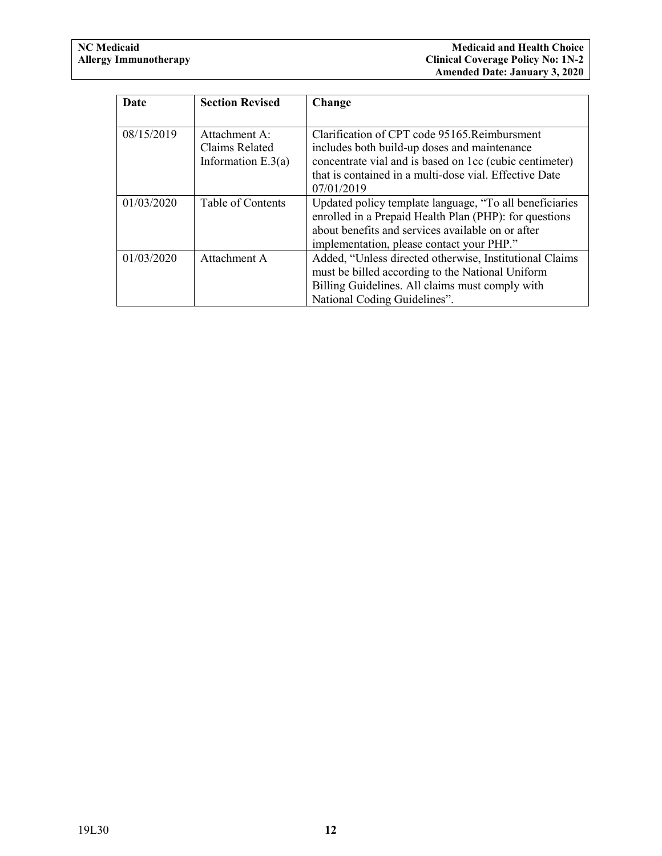| Date       | <b>Section Revised</b>                                  | Change                                                                                                                                                                                                                           |
|------------|---------------------------------------------------------|----------------------------------------------------------------------------------------------------------------------------------------------------------------------------------------------------------------------------------|
|            |                                                         |                                                                                                                                                                                                                                  |
| 08/15/2019 | Attachment A:<br>Claims Related<br>Information $E.3(a)$ | Clarification of CPT code 95165. Reimbursment<br>includes both build-up doses and maintenance<br>concentrate vial and is based on 1cc (cubic centimeter)<br>that is contained in a multi-dose vial. Effective Date<br>07/01/2019 |
| 01/03/2020 | Table of Contents                                       | Updated policy template language, "To all beneficiaries<br>enrolled in a Prepaid Health Plan (PHP): for questions<br>about benefits and services available on or after<br>implementation, please contact your PHP."              |
| 01/03/2020 | Attachment A                                            | Added, "Unless directed otherwise, Institutional Claims<br>must be billed according to the National Uniform<br>Billing Guidelines. All claims must comply with<br>National Coding Guidelines".                                   |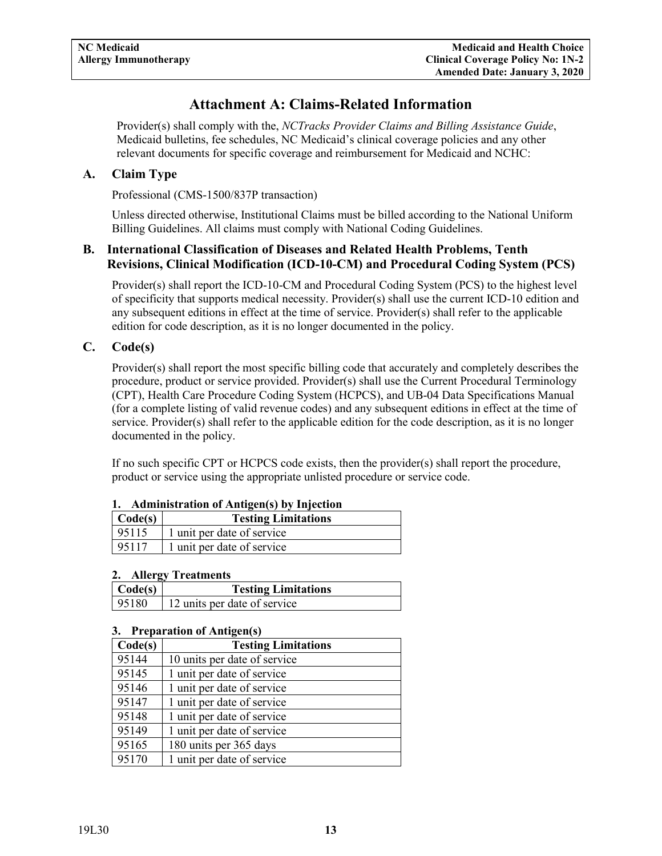# **Attachment A: Claims-Related Information**

<span id="page-14-0"></span>Provider(s) shall comply with the, *NCTracks Provider Claims and Billing Assistance Guide*, Medicaid bulletins, fee schedules, NC Medicaid's clinical coverage policies and any other relevant documents for specific coverage and reimbursement for Medicaid and NCHC:

#### <span id="page-14-1"></span>**A. Claim Type**

Professional (CMS-1500/837P transaction)

Unless directed otherwise, Institutional Claims must be billed according to the National Uniform Billing Guidelines. All claims must comply with National Coding Guidelines.

#### <span id="page-14-2"></span>**B. International Classification of Diseases and Related Health Problems, Tenth Revisions, Clinical Modification (ICD-10-CM) and Procedural Coding System (PCS)**

Provider(s) shall report the ICD-10-CM and Procedural Coding System (PCS) to the highest level of specificity that supports medical necessity. Provider(s) shall use the current ICD-10 edition and any subsequent editions in effect at the time of service. Provider(s) shall refer to the applicable edition for code description, as it is no longer documented in the policy.

#### <span id="page-14-3"></span>**C. Code(s)**

Provider(s) shall report the most specific billing code that accurately and completely describes the procedure, product or service provided. Provider(s) shall use the Current Procedural Terminology (CPT), Health Care Procedure Coding System (HCPCS), and UB-04 Data Specifications Manual (for a complete listing of valid revenue codes) and any subsequent editions in effect at the time of service. Provider(s) shall refer to the applicable edition for the code description, as it is no longer documented in the policy.

If no such specific CPT or HCPCS code exists, then the provider(s) shall report the procedure, product or service using the appropriate unlisted procedure or service code.

| 1. Administration of Antigen(s) by Injection<br>$\text{Code}(s)$<br><b>Testing Limitations</b> |                            |
|------------------------------------------------------------------------------------------------|----------------------------|
| 95115                                                                                          | 1 unit per date of service |
| 95117                                                                                          | 1 unit per date of service |

#### **1. Administration of Antigen(s) by Injection**

#### **2. Allergy Treatments**

| Code(s) | <b>Testing Limitations</b>   |
|---------|------------------------------|
| 95180   | 12 units per date of service |

#### **3. Preparation of Antigen(s)**

| Code(s) | <b>Testing Limitations</b>   |
|---------|------------------------------|
| 95144   | 10 units per date of service |
| 95145   | 1 unit per date of service   |
| 95146   | 1 unit per date of service   |
| 95147   | 1 unit per date of service   |
| 95148   | 1 unit per date of service   |
| 95149   | 1 unit per date of service   |
| 95165   | 180 units per 365 days       |
| 95170   | 1 unit per date of service   |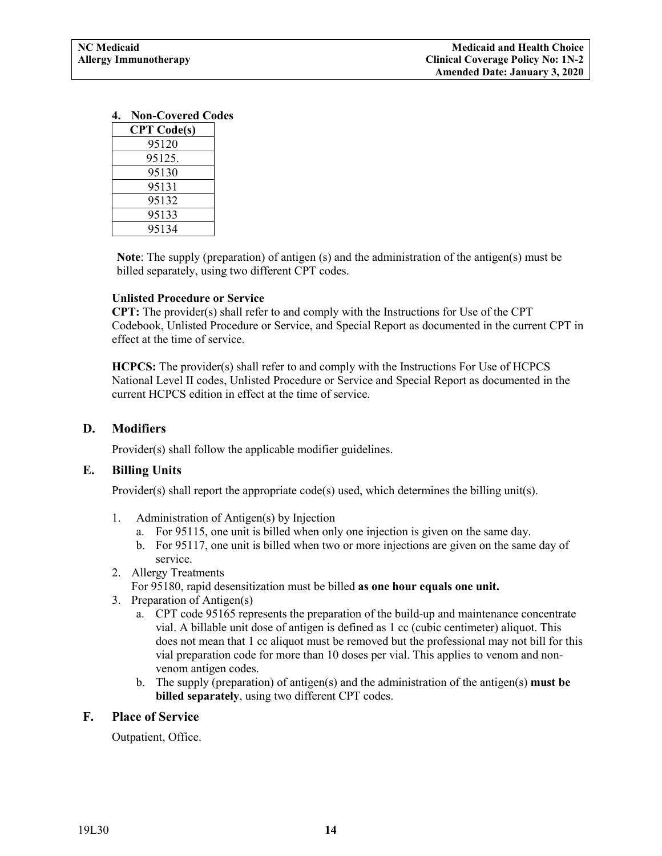<span id="page-15-3"></span>

| <b>CPT</b> Code(s) |
|--------------------|
| 95120              |
| 95125.             |
| 95130              |
| 95131              |
| 95132              |
| 95133              |
| 95134              |

**Note**: The supply (preparation) of antigen (s) and the administration of the antigen(s) must be billed separately, using two different CPT codes.

#### **Unlisted Procedure or Service**

**CPT:** The provider(s) shall refer to and comply with the Instructions for Use of the CPT Codebook, Unlisted Procedure or Service, and Special Report as documented in the current CPT in effect at the time of service.

**HCPCS:** The provider(s) shall refer to and comply with the Instructions For Use of HCPCS National Level II codes, Unlisted Procedure or Service and Special Report as documented in the current HCPCS edition in effect at the time of service.

#### <span id="page-15-0"></span>**D. Modifiers**

Provider(s) shall follow the applicable modifier guidelines.

#### <span id="page-15-1"></span>**E. Billing Units**

Provider(s) shall report the appropriate  $code(s)$  used, which determines the billing unit(s).

- 1. Administration of Antigen(s) by Injection
	- a. For 95115, one unit is billed when only one injection is given on the same day.
	- b. For 95117, one unit is billed when two or more injections are given on the same day of service.
- 2. Allergy Treatments
	- For 95180, rapid desensitization must be billed **as one hour equals one unit.**
- 3. Preparation of Antigen(s)
	- a. CPT code 95165 represents the preparation of the build-up and maintenance concentrate vial. A billable unit dose of antigen is defined as 1 cc (cubic centimeter) aliquot. This does not mean that 1 cc aliquot must be removed but the professional may not bill for this vial preparation code for more than 10 doses per vial. This applies to venom and nonvenom antigen codes.
	- b. The supply (preparation) of antigen(s) and the administration of the antigen(s) **must be billed separately**, using two different CPT codes.

#### <span id="page-15-2"></span>**F. Place of Service**

Outpatient, Office.